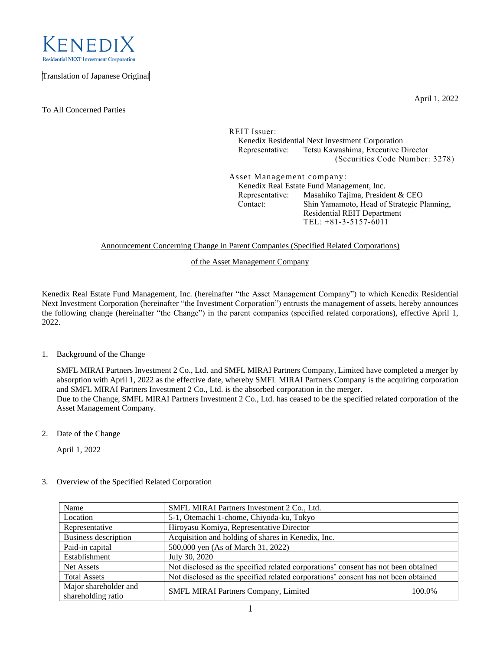

Translation of Japanese Original

To All Concerned Parties

April 1, 2022

REIT Issuer: Kenedix Residential Next Investment Corporation Representative: Tetsu Kawashima, Executive Director (Securities Code Number: 3278)

Asset Management company: Kenedix Real Estate Fund Management, Inc. Representative: Masahiko Tajima, President & CEO Contact: Shin Yamamoto, Head of Strategic Planning, Residential REIT Department TEL: +81-3-5157-6011

## Announcement Concerning Change in Parent Companies (Specified Related Corporations)

of the Asset Management Company

Kenedix Real Estate Fund Management, Inc. (hereinafter "the Asset Management Company") to which Kenedix Residential Next Investment Corporation (hereinafter "the Investment Corporation") entrusts the management of assets, hereby announces the following change (hereinafter "the Change") in the parent companies (specified related corporations), effective April 1, 2022.

1. Background of the Change

SMFL MIRAI Partners Investment 2 Co., Ltd. and SMFL MIRAI Partners Company, Limited have completed a merger by absorption with April 1, 2022 as the effective date, whereby SMFL MIRAI Partners Company is the acquiring corporation and SMFL MIRAI Partners Investment 2 Co., Ltd. is the absorbed corporation in the merger. Due to the Change, SMFL MIRAI Partners Investment 2 Co., Ltd. has ceased to be the specified related corporation of the Asset Management Company.

2. Date of the Change

April 1, 2022

3. Overview of the Specified Related Corporation

| Name                        | SMFL MIRAI Partners Investment 2 Co., Ltd.                                         |
|-----------------------------|------------------------------------------------------------------------------------|
| Location                    | 5-1, Otemachi 1-chome, Chiyoda-ku, Tokyo                                           |
| Representative              | Hiroyasu Komiya, Representative Director                                           |
| <b>Business description</b> | Acquisition and holding of shares in Kenedix, Inc.                                 |
| Paid-in capital             | 500,000 yen (As of March 31, 2022)                                                 |
| Establishment               | July 30, 2020                                                                      |
| Net Assets                  | Not disclosed as the specified related corporations' consent has not been obtained |
| <b>Total Assets</b>         | Not disclosed as the specified related corporations' consent has not been obtained |
| Major shareholder and       | SMFL MIRAI Partners Company, Limited<br>100.0%                                     |
| shareholding ratio          |                                                                                    |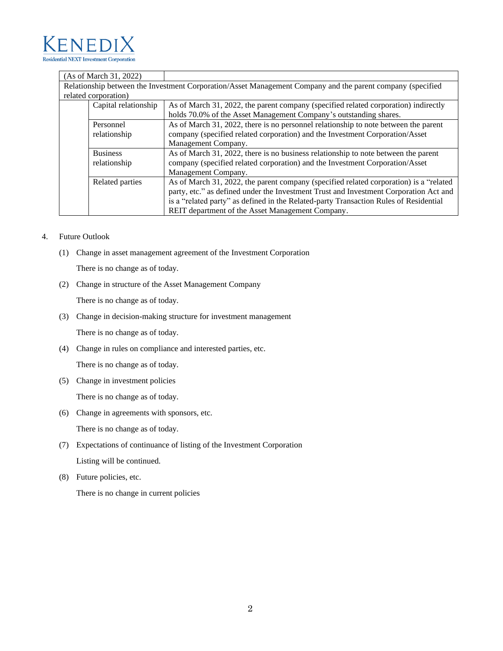

|                                                                                                            | (As of March 31, 2022) |                                                                                        |
|------------------------------------------------------------------------------------------------------------|------------------------|----------------------------------------------------------------------------------------|
| Relationship between the Investment Corporation/Asset Management Company and the parent company (specified |                        |                                                                                        |
| related corporation)                                                                                       |                        |                                                                                        |
|                                                                                                            | Capital relationship   | As of March 31, 2022, the parent company (specified related corporation) indirectly    |
|                                                                                                            |                        | holds 70.0% of the Asset Management Company's outstanding shares.                      |
|                                                                                                            | Personnel              | As of March 31, 2022, there is no personnel relationship to note between the parent    |
|                                                                                                            | relationship           | company (specified related corporation) and the Investment Corporation/Asset           |
|                                                                                                            |                        | Management Company.                                                                    |
|                                                                                                            | <b>Business</b>        | As of March 31, 2022, there is no business relationship to note between the parent     |
|                                                                                                            | relationship           | company (specified related corporation) and the Investment Corporation/Asset           |
|                                                                                                            |                        | Management Company.                                                                    |
|                                                                                                            | Related parties        | As of March 31, 2022, the parent company (specified related corporation) is a "related |
|                                                                                                            |                        | party, etc." as defined under the Investment Trust and Investment Corporation Act and  |
|                                                                                                            |                        | is a "related party" as defined in the Related-party Transaction Rules of Residential  |
|                                                                                                            |                        | REIT department of the Asset Management Company.                                       |

## 4. Future Outlook

(1) Change in asset management agreement of the Investment Corporation

There is no change as of today.

(2) Change in structure of the Asset Management Company

There is no change as of today.

(3) Change in decision-making structure for investment management

There is no change as of today.

(4) Change in rules on compliance and interested parties, etc.

There is no change as of today.

(5) Change in investment policies

There is no change as of today.

(6) Change in agreements with sponsors, etc.

There is no change as of today.

- (7) Expectations of continuance of listing of the Investment Corporation Listing will be continued.
- (8) Future policies, etc.

There is no change in current policies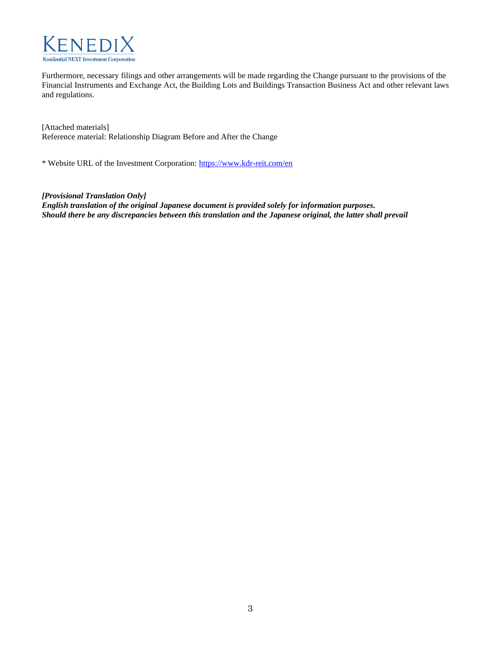

Furthermore, necessary filings and other arrangements will be made regarding the Change pursuant to the provisions of the Financial Instruments and Exchange Act, the Building Lots and Buildings Transaction Business Act and other relevant laws and regulations.

[Attached materials] Reference material: Relationship Diagram Before and After the Change

\* Website URL of the Investment Corporation:<https://www.kdr-reit.com/en>

*[Provisional Translation Only]* 

*English translation of the original Japanese document is provided solely for information purposes. Should there be any discrepancies between this translation and the Japanese original, the latter shall prevail*